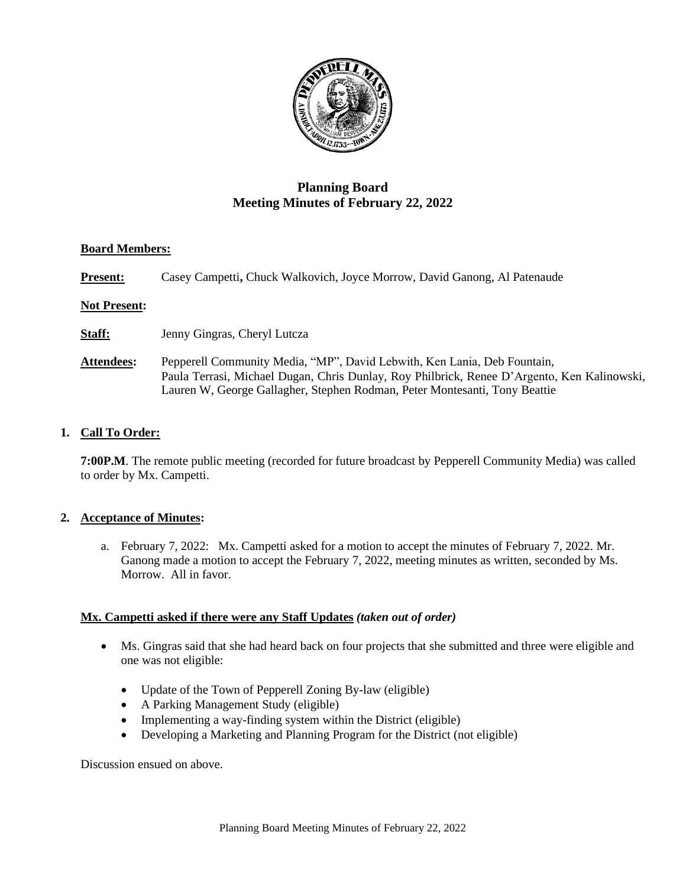

# **Planning Board Meeting Minutes of February 22, 2022**

# **Board Members:**

**Present:** Casey Campetti, Chuck Walkovich, Joyce Morrow, David Ganong, Al Patenaude

# **Not Present:**

**Staff:** Jenny Gingras, Cheryl Lutcza

**Attendees:** Pepperell Community Media, "MP", David Lebwith, Ken Lania, Deb Fountain, Paula Terrasi, Michael Dugan, Chris Dunlay, Roy Philbrick, Renee D'Argento, Ken Kalinowski, Lauren W, George Gallagher, Stephen Rodman, Peter Montesanti, Tony Beattie

# **1. Call To Order:**

**7:00P.M**. The remote public meeting (recorded for future broadcast by Pepperell Community Media) was called to order by Mx. Campetti.

# **2. Acceptance of Minutes:**

a. February 7, 2022: Mx. Campetti asked for a motion to accept the minutes of February 7, 2022. Mr. Ganong made a motion to accept the February 7, 2022, meeting minutes as written, seconded by Ms. Morrow. All in favor.

# **Mx. Campetti asked if there were any Staff Updates** *(taken out of order)*

- Ms. Gingras said that she had heard back on four projects that she submitted and three were eligible and one was not eligible:
	- Update of the Town of Pepperell Zoning By-law (eligible)
	- A Parking Management Study (eligible)
	- Implementing a way-finding system within the District (eligible)
	- Developing a Marketing and Planning Program for the District (not eligible)

Discussion ensued on above.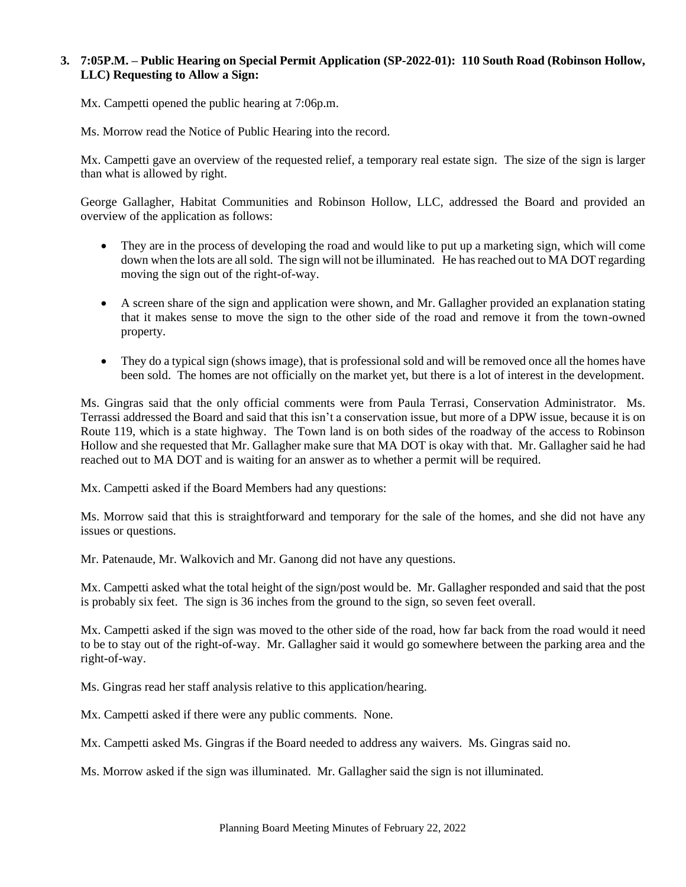# **3. 7:05P.M. – Public Hearing on Special Permit Application (SP-2022-01): 110 South Road (Robinson Hollow, LLC) Requesting to Allow a Sign:**

Mx. Campetti opened the public hearing at 7:06p.m.

Ms. Morrow read the Notice of Public Hearing into the record.

Mx. Campetti gave an overview of the requested relief, a temporary real estate sign. The size of the sign is larger than what is allowed by right.

George Gallagher, Habitat Communities and Robinson Hollow, LLC, addressed the Board and provided an overview of the application as follows:

- They are in the process of developing the road and would like to put up a marketing sign, which will come down when the lots are all sold. The sign will not be illuminated. He has reached out to MA DOT regarding moving the sign out of the right-of-way.
- A screen share of the sign and application were shown, and Mr. Gallagher provided an explanation stating that it makes sense to move the sign to the other side of the road and remove it from the town-owned property.
- They do a typical sign (shows image), that is professional sold and will be removed once all the homes have been sold. The homes are not officially on the market yet, but there is a lot of interest in the development.

Ms. Gingras said that the only official comments were from Paula Terrasi, Conservation Administrator. Ms. Terrassi addressed the Board and said that this isn't a conservation issue, but more of a DPW issue, because it is on Route 119, which is a state highway. The Town land is on both sides of the roadway of the access to Robinson Hollow and she requested that Mr. Gallagher make sure that MA DOT is okay with that. Mr. Gallagher said he had reached out to MA DOT and is waiting for an answer as to whether a permit will be required.

Mx. Campetti asked if the Board Members had any questions:

Ms. Morrow said that this is straightforward and temporary for the sale of the homes, and she did not have any issues or questions.

Mr. Patenaude, Mr. Walkovich and Mr. Ganong did not have any questions.

Mx. Campetti asked what the total height of the sign/post would be. Mr. Gallagher responded and said that the post is probably six feet. The sign is 36 inches from the ground to the sign, so seven feet overall.

Mx. Campetti asked if the sign was moved to the other side of the road, how far back from the road would it need to be to stay out of the right-of-way. Mr. Gallagher said it would go somewhere between the parking area and the right-of-way.

Ms. Gingras read her staff analysis relative to this application/hearing.

Mx. Campetti asked if there were any public comments. None.

Mx. Campetti asked Ms. Gingras if the Board needed to address any waivers. Ms. Gingras said no.

Ms. Morrow asked if the sign was illuminated. Mr. Gallagher said the sign is not illuminated.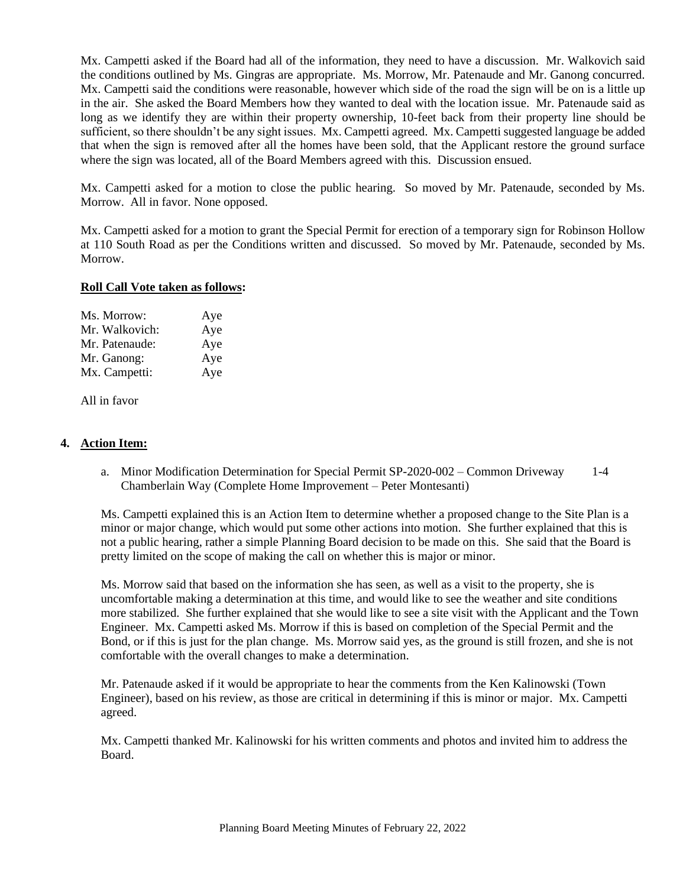Mx. Campetti asked if the Board had all of the information, they need to have a discussion. Mr. Walkovich said the conditions outlined by Ms. Gingras are appropriate. Ms. Morrow, Mr. Patenaude and Mr. Ganong concurred. Mx. Campetti said the conditions were reasonable, however which side of the road the sign will be on is a little up in the air. She asked the Board Members how they wanted to deal with the location issue. Mr. Patenaude said as long as we identify they are within their property ownership, 10-feet back from their property line should be sufficient, so there shouldn't be any sight issues. Mx. Campetti agreed. Mx. Campetti suggested language be added that when the sign is removed after all the homes have been sold, that the Applicant restore the ground surface where the sign was located, all of the Board Members agreed with this. Discussion ensued.

Mx. Campetti asked for a motion to close the public hearing. So moved by Mr. Patenaude, seconded by Ms. Morrow. All in favor. None opposed.

Mx. Campetti asked for a motion to grant the Special Permit for erection of a temporary sign for Robinson Hollow at 110 South Road as per the Conditions written and discussed. So moved by Mr. Patenaude, seconded by Ms. Morrow.

#### **Roll Call Vote taken as follows:**

| Ms. Morrow:    | Aye |
|----------------|-----|
| Mr. Walkovich: | Aye |
| Mr. Patenaude: | Aye |
| Mr. Ganong:    | Aye |
| Mx. Campetti:  | Aye |

All in favor

# **4. Action Item:**

a. Minor Modification Determination for Special Permit SP-2020-002 – Common Driveway 1-4 Chamberlain Way (Complete Home Improvement – Peter Montesanti)

Ms. Campetti explained this is an Action Item to determine whether a proposed change to the Site Plan is a minor or major change, which would put some other actions into motion. She further explained that this is not a public hearing, rather a simple Planning Board decision to be made on this. She said that the Board is pretty limited on the scope of making the call on whether this is major or minor.

Ms. Morrow said that based on the information she has seen, as well as a visit to the property, she is uncomfortable making a determination at this time, and would like to see the weather and site conditions more stabilized. She further explained that she would like to see a site visit with the Applicant and the Town Engineer. Mx. Campetti asked Ms. Morrow if this is based on completion of the Special Permit and the Bond, or if this is just for the plan change. Ms. Morrow said yes, as the ground is still frozen, and she is not comfortable with the overall changes to make a determination.

Mr. Patenaude asked if it would be appropriate to hear the comments from the Ken Kalinowski (Town Engineer), based on his review, as those are critical in determining if this is minor or major. Mx. Campetti agreed.

Mx. Campetti thanked Mr. Kalinowski for his written comments and photos and invited him to address the Board.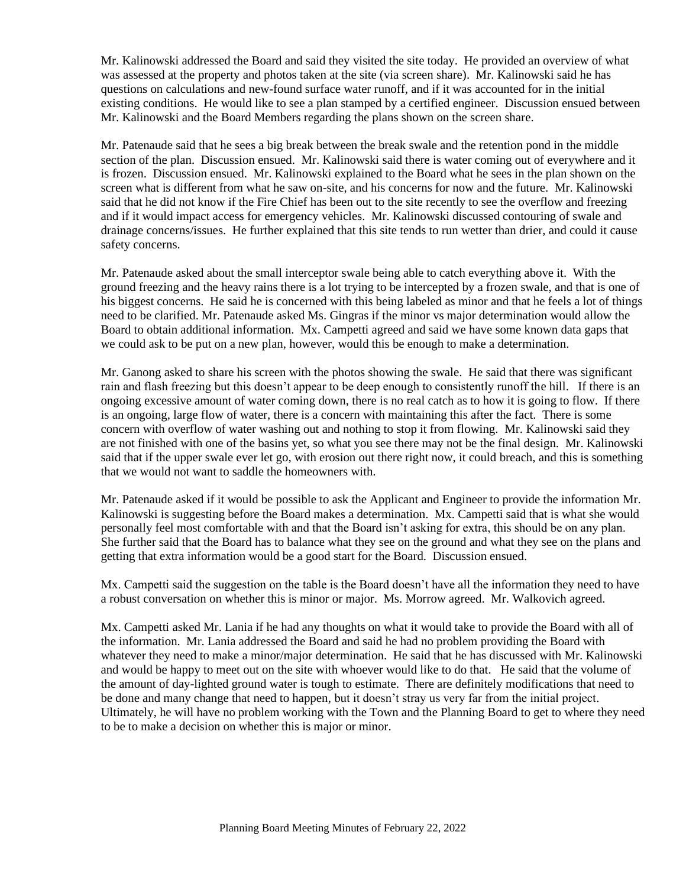Mr. Kalinowski addressed the Board and said they visited the site today. He provided an overview of what was assessed at the property and photos taken at the site (via screen share). Mr. Kalinowski said he has questions on calculations and new-found surface water runoff, and if it was accounted for in the initial existing conditions. He would like to see a plan stamped by a certified engineer. Discussion ensued between Mr. Kalinowski and the Board Members regarding the plans shown on the screen share.

Mr. Patenaude said that he sees a big break between the break swale and the retention pond in the middle section of the plan. Discussion ensued. Mr. Kalinowski said there is water coming out of everywhere and it is frozen. Discussion ensued. Mr. Kalinowski explained to the Board what he sees in the plan shown on the screen what is different from what he saw on-site, and his concerns for now and the future. Mr. Kalinowski said that he did not know if the Fire Chief has been out to the site recently to see the overflow and freezing and if it would impact access for emergency vehicles. Mr. Kalinowski discussed contouring of swale and drainage concerns/issues. He further explained that this site tends to run wetter than drier, and could it cause safety concerns.

Mr. Patenaude asked about the small interceptor swale being able to catch everything above it. With the ground freezing and the heavy rains there is a lot trying to be intercepted by a frozen swale, and that is one of his biggest concerns. He said he is concerned with this being labeled as minor and that he feels a lot of things need to be clarified. Mr. Patenaude asked Ms. Gingras if the minor vs major determination would allow the Board to obtain additional information. Mx. Campetti agreed and said we have some known data gaps that we could ask to be put on a new plan, however, would this be enough to make a determination.

Mr. Ganong asked to share his screen with the photos showing the swale. He said that there was significant rain and flash freezing but this doesn't appear to be deep enough to consistently runoff the hill. If there is an ongoing excessive amount of water coming down, there is no real catch as to how it is going to flow. If there is an ongoing, large flow of water, there is a concern with maintaining this after the fact. There is some concern with overflow of water washing out and nothing to stop it from flowing. Mr. Kalinowski said they are not finished with one of the basins yet, so what you see there may not be the final design. Mr. Kalinowski said that if the upper swale ever let go, with erosion out there right now, it could breach, and this is something that we would not want to saddle the homeowners with.

Mr. Patenaude asked if it would be possible to ask the Applicant and Engineer to provide the information Mr. Kalinowski is suggesting before the Board makes a determination. Mx. Campetti said that is what she would personally feel most comfortable with and that the Board isn't asking for extra, this should be on any plan. She further said that the Board has to balance what they see on the ground and what they see on the plans and getting that extra information would be a good start for the Board. Discussion ensued.

Mx. Campetti said the suggestion on the table is the Board doesn't have all the information they need to have a robust conversation on whether this is minor or major. Ms. Morrow agreed. Mr. Walkovich agreed.

Mx. Campetti asked Mr. Lania if he had any thoughts on what it would take to provide the Board with all of the information. Mr. Lania addressed the Board and said he had no problem providing the Board with whatever they need to make a minor/major determination. He said that he has discussed with Mr. Kalinowski and would be happy to meet out on the site with whoever would like to do that. He said that the volume of the amount of day-lighted ground water is tough to estimate. There are definitely modifications that need to be done and many change that need to happen, but it doesn't stray us very far from the initial project. Ultimately, he will have no problem working with the Town and the Planning Board to get to where they need to be to make a decision on whether this is major or minor.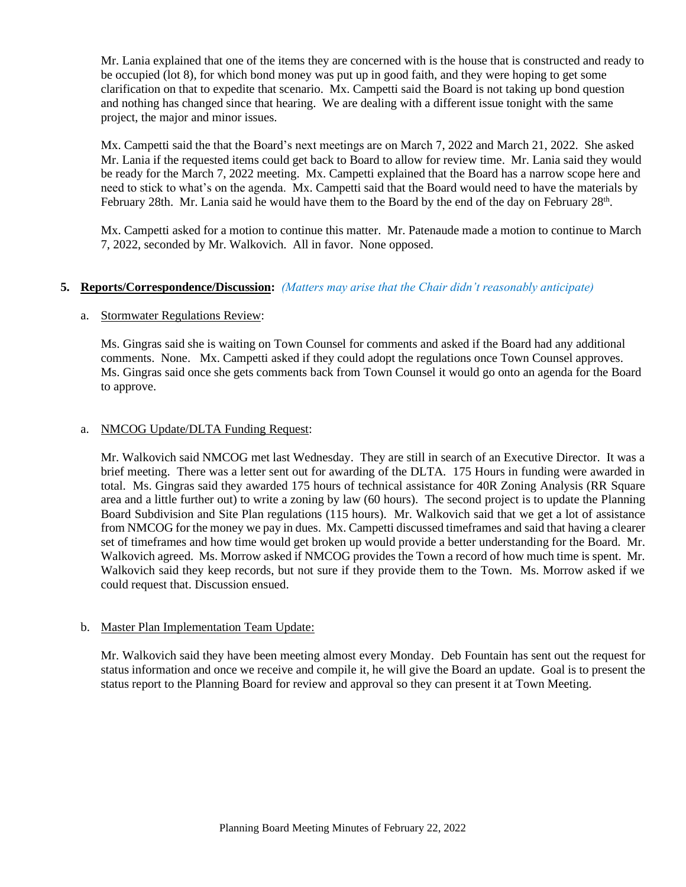Mr. Lania explained that one of the items they are concerned with is the house that is constructed and ready to be occupied (lot 8), for which bond money was put up in good faith, and they were hoping to get some clarification on that to expedite that scenario. Mx. Campetti said the Board is not taking up bond question and nothing has changed since that hearing. We are dealing with a different issue tonight with the same project, the major and minor issues.

Mx. Campetti said the that the Board's next meetings are on March 7, 2022 and March 21, 2022. She asked Mr. Lania if the requested items could get back to Board to allow for review time. Mr. Lania said they would be ready for the March 7, 2022 meeting. Mx. Campetti explained that the Board has a narrow scope here and need to stick to what's on the agenda. Mx. Campetti said that the Board would need to have the materials by February 28th. Mr. Lania said he would have them to the Board by the end of the day on February 28<sup>th</sup>.

Mx. Campetti asked for a motion to continue this matter. Mr. Patenaude made a motion to continue to March 7, 2022, seconded by Mr. Walkovich. All in favor. None opposed.

# **5. Reports/Correspondence/Discussion:** *(Matters may arise that the Chair didn't reasonably anticipate)*

# a. Stormwater Regulations Review:

Ms. Gingras said she is waiting on Town Counsel for comments and asked if the Board had any additional comments. None. Mx. Campetti asked if they could adopt the regulations once Town Counsel approves. Ms. Gingras said once she gets comments back from Town Counsel it would go onto an agenda for the Board to approve.

# a. NMCOG Update/DLTA Funding Request:

Mr. Walkovich said NMCOG met last Wednesday. They are still in search of an Executive Director. It was a brief meeting. There was a letter sent out for awarding of the DLTA. 175 Hours in funding were awarded in total. Ms. Gingras said they awarded 175 hours of technical assistance for 40R Zoning Analysis (RR Square area and a little further out) to write a zoning by law (60 hours). The second project is to update the Planning Board Subdivision and Site Plan regulations (115 hours). Mr. Walkovich said that we get a lot of assistance from NMCOG for the money we pay in dues. Mx. Campetti discussed timeframes and said that having a clearer set of timeframes and how time would get broken up would provide a better understanding for the Board. Mr. Walkovich agreed. Ms. Morrow asked if NMCOG provides the Town a record of how much time is spent. Mr. Walkovich said they keep records, but not sure if they provide them to the Town. Ms. Morrow asked if we could request that. Discussion ensued.

#### b. Master Plan Implementation Team Update:

Mr. Walkovich said they have been meeting almost every Monday. Deb Fountain has sent out the request for status information and once we receive and compile it, he will give the Board an update. Goal is to present the status report to the Planning Board for review and approval so they can present it at Town Meeting.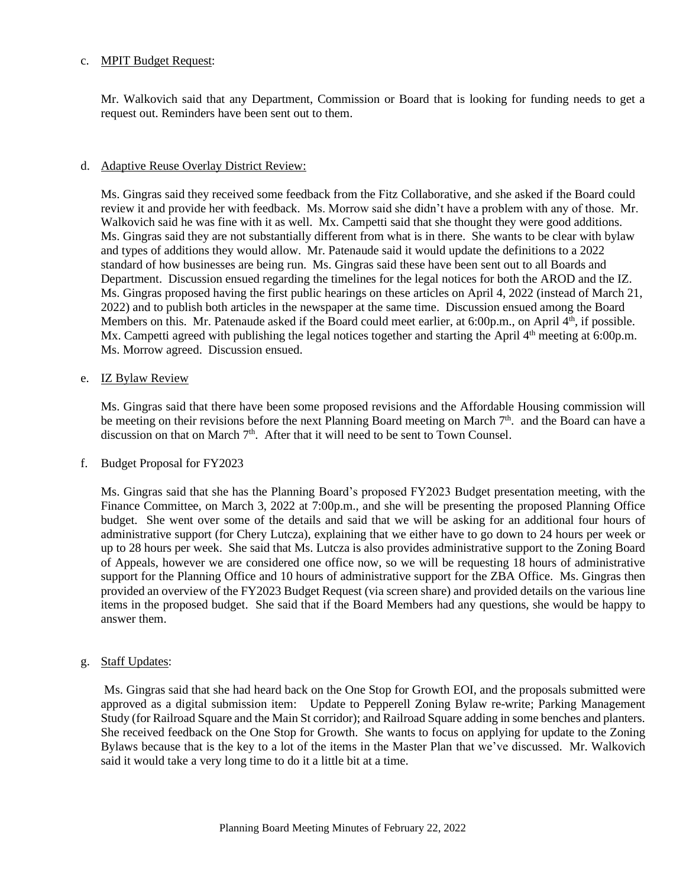#### c. MPIT Budget Request:

Mr. Walkovich said that any Department, Commission or Board that is looking for funding needs to get a request out. Reminders have been sent out to them.

#### d. Adaptive Reuse Overlay District Review:

Ms. Gingras said they received some feedback from the Fitz Collaborative, and she asked if the Board could review it and provide her with feedback. Ms. Morrow said she didn't have a problem with any of those. Mr. Walkovich said he was fine with it as well. Mx. Campetti said that she thought they were good additions. Ms. Gingras said they are not substantially different from what is in there. She wants to be clear with bylaw and types of additions they would allow. Mr. Patenaude said it would update the definitions to a 2022 standard of how businesses are being run. Ms. Gingras said these have been sent out to all Boards and Department. Discussion ensued regarding the timelines for the legal notices for both the AROD and the IZ. Ms. Gingras proposed having the first public hearings on these articles on April 4, 2022 (instead of March 21, 2022) and to publish both articles in the newspaper at the same time. Discussion ensued among the Board Members on this. Mr. Patenaude asked if the Board could meet earlier, at 6:00p.m., on April 4<sup>th</sup>, if possible. Mx. Campetti agreed with publishing the legal notices together and starting the April  $4<sup>th</sup>$  meeting at 6:00p.m. Ms. Morrow agreed. Discussion ensued.

#### e. IZ Bylaw Review

Ms. Gingras said that there have been some proposed revisions and the Affordable Housing commission will be meeting on their revisions before the next Planning Board meeting on March 7<sup>th</sup>. and the Board can have a discussion on that on March 7<sup>th</sup>. After that it will need to be sent to Town Counsel.

#### f. Budget Proposal for FY2023

Ms. Gingras said that she has the Planning Board's proposed FY2023 Budget presentation meeting, with the Finance Committee, on March 3, 2022 at 7:00p.m., and she will be presenting the proposed Planning Office budget. She went over some of the details and said that we will be asking for an additional four hours of administrative support (for Chery Lutcza), explaining that we either have to go down to 24 hours per week or up to 28 hours per week. She said that Ms. Lutcza is also provides administrative support to the Zoning Board of Appeals, however we are considered one office now, so we will be requesting 18 hours of administrative support for the Planning Office and 10 hours of administrative support for the ZBA Office. Ms. Gingras then provided an overview of the FY2023 Budget Request (via screen share) and provided details on the various line items in the proposed budget. She said that if the Board Members had any questions, she would be happy to answer them.

# g. Staff Updates:

Ms. Gingras said that she had heard back on the One Stop for Growth EOI, and the proposals submitted were approved as a digital submission item: Update to Pepperell Zoning Bylaw re-write; Parking Management Study (for Railroad Square and the Main St corridor); and Railroad Square adding in some benches and planters. She received feedback on the One Stop for Growth. She wants to focus on applying for update to the Zoning Bylaws because that is the key to a lot of the items in the Master Plan that we've discussed. Mr. Walkovich said it would take a very long time to do it a little bit at a time.